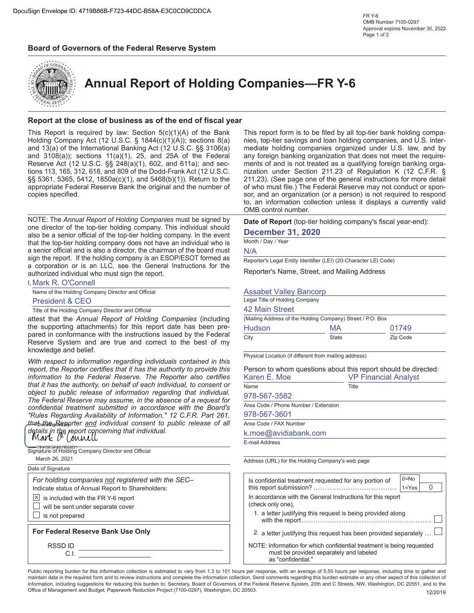## **Board of Governors of the Federal Reserve System**



**Annual Report of Holding Companies—FR Y-6**

## **Report at the close of business as of the end of fiscal year**

This Report is required by law: Section 5(c)(1)(A) of the Bank Holding Company Act (12 U.S.C. § 1844(c)(1)(A)); sections 8(a) and 13(a) of the International Banking Act (12 U.S.C. §§ 3106(a) and 3108(a)); sections 11(a)(1), 25, and 25A of the Federal Reserve Act (12 U.S.C. §§ 248(a)(1), 602, and 611a); and sections 113, 165, 312, 618, and 809 of the Dodd-Frank Act (12 U.S.C. §§ 5361, 5365, 5412, 1850a(c)(1), and 5468(b)(1)). Return to the appropriate Federal Reserve Bank the original and the number of copies specified.

NOTE: The *Annual Report of Holding Companies* must be signed by one director of the top-tier holding company. This individual should also be a senior official of the top-tier holding company. In the event that the top-tier holding company does not have an individual who is a senior official and is also a director, the chairman of the board must sign the report. If the holding company is an ESOP/ESOT formed as a corporation or is an LLC, see the General Instructions for the authorized individual who must sign the report.

I, Mark R. O'Connell Name of the Holding Company Director and Official

President & CEO

Title of the Holding Company Director and Official

attest that the *Annual Report of Holding Companies* (including the supporting attachments) for this report date has been prepared in conformance with the instructions issued by the Federal Reserve System and are true and correct to the best of my knowledge and belief.

*With respect to information regarding individuals contained in this report, the Reporter certifies that it has the authority to provide this information to the Federal Reserve. The Reporter also certifies that it has the authority, on behalf of each individual, to consent or object to public release of information regarding that individual. The Federal Reserve may assume, in the absence of a request for confidential treatment submitted in accordance with the Board's "Rules Regarding Availability of Information," 12 C.F.R. Part 261, that the Reporter and individual consent to public release of all* details in the report concerning that individual.<br>**Mark** *D* (ownell

| Address (                                |
|------------------------------------------|
| Is conf<br>this rep<br>In acco<br>(check |
| 1. a<br>Wi                               |
| 2. a<br>NOTF <sup>-</sup>                |
|                                          |

This report form is to be filed by all top-tier bank holding companies, top-tier savings and loan holding companies, and U.S. intermediate holding companies organized under U.S. law, and by any foreign banking organization that does not meet the requirements of and is not treated as a qualifying foreign banking organization under Section 211.23 of Regulation K (12 C.F.R. § 211.23). (See page one of the general instructions for more detail of who must file.) The Federal Reserve may not conduct or sponsor, and an organization (or a person) is not required to respond to, an information collection unless it displays a currently valid OMB control number.

**Date of Report** (top-tier holding company's fiscal year-end):

### **December 31, 2020**

Month / Day / Year

N/A

Reporter's Legal Entity Identifier (LEI) (20-Character LEI Code)

Reporter's Name, Street, and Mailing Address

### Assabet Valley Bancorp

| Legal Title of Holding Company                             |       |          |  |  |  |  |  |
|------------------------------------------------------------|-------|----------|--|--|--|--|--|
| 42 Main Street                                             |       |          |  |  |  |  |  |
| (Mailing Address of the Holding Company) Street / P.O. Box |       |          |  |  |  |  |  |
| Hudson                                                     | MA    | 01749    |  |  |  |  |  |
| City                                                       | State | Zip Code |  |  |  |  |  |

Physical Location (if different from mailing address)

| Person to whom questions about this report should be directed:<br>Karen E. Moe | <b>VP Financial Analyst</b> |
|--------------------------------------------------------------------------------|-----------------------------|
| <b>Name</b>                                                                    | Title                       |
| 978-567-3582                                                                   |                             |
| Area Code / Phone Number / Extension                                           |                             |
| 978-567-3601                                                                   |                             |
| Area Code / FAX Number                                                         |                             |

k.moe@avidiabank.com

E-mail Address

URL) for the Holding Company's web page

| Is confidential treatment requested for any portion of                                                                                 | $0 = No$  |  |  |  |  |  |
|----------------------------------------------------------------------------------------------------------------------------------------|-----------|--|--|--|--|--|
|                                                                                                                                        | $1 = Yes$ |  |  |  |  |  |
| In accordance with the General Instructions for this report<br>(check only one).                                                       |           |  |  |  |  |  |
| 1. a letter justifying this request is being provided along                                                                            |           |  |  |  |  |  |
| 2. a letter justifying this request has been provided separately                                                                       |           |  |  |  |  |  |
| NOTE: Information for which confidential treatment is being requested<br>must be provided separately and labeled<br>as "confidential." |           |  |  |  |  |  |

Public reporting burden for this information collection is estimated to vary from 1.3 to 101 hours per response, with an average of 5.50 hours per response, including time to gather and maintain data in the required form and to review instructions and complete the information collection. Send comments regarding this burden estimate or any other aspect of this collection of information, including suggestions for reducing this burden to: Secretary, Board of Governors of the Federal Reserve System, 20th and C Streets, NW, Washington, DC 20551, and to the Office of Management and Budget, Paperwork Reduction Project (7100-0297), Washington, DC 20503. 12/2019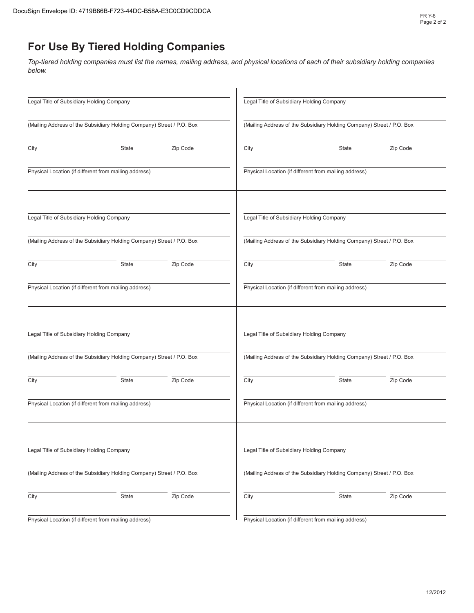# **For Use By Tiered Holding Companies**

*Top-tiered holding companies must list the names, mailing address, and physical locations of each of their subsidiary holding companies below.*

| Legal Title of Subsidiary Holding Company |                                                                       |          |      | Legal Title of Subsidiary Holding Company                             |          |  |  |  |  |
|-------------------------------------------|-----------------------------------------------------------------------|----------|------|-----------------------------------------------------------------------|----------|--|--|--|--|
|                                           | (Mailing Address of the Subsidiary Holding Company) Street / P.O. Box |          |      | (Mailing Address of the Subsidiary Holding Company) Street / P.O. Box |          |  |  |  |  |
| City                                      | <b>State</b>                                                          | Zip Code | City | State                                                                 | Zip Code |  |  |  |  |
|                                           | Physical Location (if different from mailing address)                 |          |      | Physical Location (if different from mailing address)                 |          |  |  |  |  |
| Legal Title of Subsidiary Holding Company |                                                                       |          |      | Legal Title of Subsidiary Holding Company                             |          |  |  |  |  |
|                                           | (Mailing Address of the Subsidiary Holding Company) Street / P.O. Box |          |      | (Mailing Address of the Subsidiary Holding Company) Street / P.O. Box |          |  |  |  |  |
| City                                      | State                                                                 | Zip Code | City | State                                                                 | Zip Code |  |  |  |  |
|                                           | Physical Location (if different from mailing address)                 |          |      | Physical Location (if different from mailing address)                 |          |  |  |  |  |
| Legal Title of Subsidiary Holding Company |                                                                       |          |      | Legal Title of Subsidiary Holding Company                             |          |  |  |  |  |
|                                           | (Mailing Address of the Subsidiary Holding Company) Street / P.O. Box |          |      | (Mailing Address of the Subsidiary Holding Company) Street / P.O. Box |          |  |  |  |  |
| City                                      | <b>State</b>                                                          | Zip Code | City | State                                                                 | Zip Code |  |  |  |  |
|                                           | Physical Location (if different from mailing address)                 |          |      | Physical Location (if different from mailing address)                 |          |  |  |  |  |
| Legal Title of Subsidiary Holding Company |                                                                       |          |      | Legal Title of Subsidiary Holding Company                             |          |  |  |  |  |
|                                           | (Mailing Address of the Subsidiary Holding Company) Street / P.O. Box |          |      | (Mailing Address of the Subsidiary Holding Company) Street / P.O. Box |          |  |  |  |  |
| City                                      | State                                                                 | Zip Code | City | State                                                                 | Zip Code |  |  |  |  |
|                                           | Physical Location (if different from mailing address)                 |          |      | Physical Location (if different from mailing address)                 |          |  |  |  |  |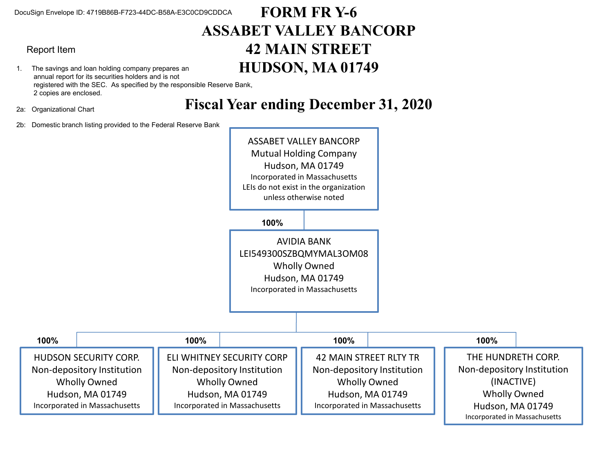## Report Item

- 1. The savings and loan holding company prepares an annual report for its securities holders and is not registered with the SEC. As specified by the responsible Reserve Bank, 2 copies are enclosed.
- 2a: Organizational Chart

# **FORM FR Y-6 ASSABET VALLEY BANCORP 42 MAIN STREET HUDSON, MA 01749**

**Fiscal Year ending December 31, 2020**

2b: Domestic branch listing provided to the Federal Reserve Bank

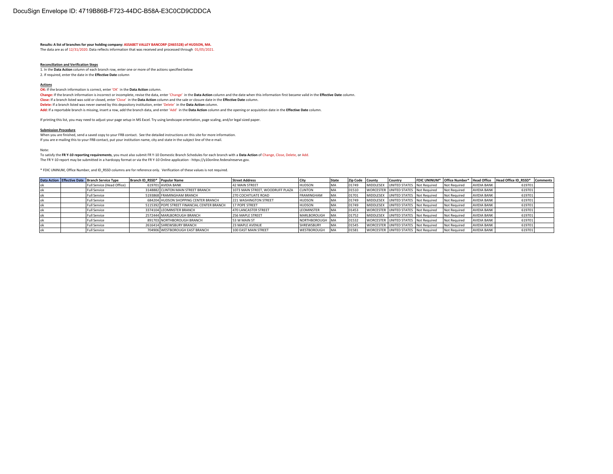**Results: A list of branches for your holding company: ASSABET VALLEY BANCORP (2465528) of HUDSON, MA.** The data are as of 12/31/2020. Data reflects information that was received and processed through 01/05/2021.

### **Reconciliation and Verification Steps**

1. In the **Data Action** column of each branch row, enter one or more of the actions specified below 2. If required, enter the date in the **Effective Date** column

#### **Actions**

**OK:** If the branch information is correct, enter 'OK' in the Data Action column.

**Change:** If the branch information is incorrect or incomplete, revise the data, enter 'Change' in the **Data Action** column and the date when this information first became valid in the **Effective Date** column. **Close:** If a branch listed was sold or closed, enter 'Close' in the **Data Action** column and the sale or closure date in the **Effective Date** column.

**Delete:** If a branch listed was never owned by this depository institution, enter 'Delete' in the **Data Action** column.

**Add:** If a reportable branch is missing, insert a row, add the branch data, and enter 'Add' in the **Data Action** column and the opening or acquisition date in the **Effective Date** column.

If printing this list, you may need to adjust your page setup in MS Excel. Try using landscape orientation, page scaling, and/or legal sized paper.

#### **Submission Procedure**

When you are finished, send a saved copy to your FRB contact. See the detailed instructions on this site for more information. If you are e-mailing this to your FRB contact, put your institution name, city and state in the subject line of the e-mail.

Note:

To satisfy the **FR Y-10 reporting requirements**, you must also submit FR Y-10 Domestic Branch Schedules for each branch with a **Data Action** of Change, Close, Delete, or Add.

The FR Y-10 report may be submitted in a hardcopy format or via the FR Y-10 Online application - https://y10online.federalreserve.gov.

\* FDIC UNINUM, Office Number, and ID\_RSSD columns are for reference only. Verification of these values is not required.

|  | Data Action Effective Date Branch Service Type | Branch ID RSSD* Popular Name |                                             | <b>Street Address</b>            | City               | State      | Zip Code County |           | Country                              |                     |                    | FDIC UNINUM* Office Number* Head Office Head Office ID RSSD* | <b>Comments</b> |
|--|------------------------------------------------|------------------------------|---------------------------------------------|----------------------------------|--------------------|------------|-----------------|-----------|--------------------------------------|---------------------|--------------------|--------------------------------------------------------------|-----------------|
|  | Full Service (Head Office)                     |                              | 619701 AVIDIA BANK                          | <b>42 MAIN STREET</b>            | <b>HUDSON</b>      | MA         | 01749           | MIDDLESEX | UNITED STATES Not Required           | Not Required        | AVIDIA BANK        | 619701                                                       |                 |
|  | Full Service                                   |                              | 3148882 CLINTON MAIN STREET BRANCH          | 1073 MAIN STREET, WOODRUFF PLAZA | <b>CLINTON</b>     | <b>MA</b>  | 01510           |           | WORCESTER UNITED STATES Not Required | Not Required        | <b>AVIDIA BANK</b> | 619701                                                       |                 |
|  | Full Service                                   |                              | 5193868 FRAMINGHAM BRANCH                   | 270 COCHITUATE ROAD              | <b>FRAMINGHAM</b>  | MA         | 01701           | MIDDLESEX | UNITED STATES Not Required           | Not Required        | <b>AVIDIA BANK</b> | 619701                                                       |                 |
|  | <b>Full Service</b>                            |                              | 684204 HUDSON SHOPPING CENTER BRANCH        | 221 WASHINGTON STREET            | <b>HUDSON</b>      | MA         | 01749           |           | MIDDLESEX UNITED STATES Not Required | <b>Not Required</b> | <b>AVIDIA BANK</b> | 619701                                                       |                 |
|  | Full Service                                   |                              | 5115392 POPE STREET FINANCIAL CENTER BRANCH | 17 POPE STREET                   | <b>HUDSON</b>      | MA         | 01749           | MIDDLESEX | UNITED STATES Not Required           | Not Required        | <b>AVIDIA BANK</b> | 619701                                                       |                 |
|  | Full Service                                   |                              | 3374104 LEOMINSTER BRANCH                   | 470 LANCASTER STREET             | LEOMINSTER         | MA         | 01453           |           | WORCESTER UNITED STATES Not Required | Not Required        | <b>AVIDIA BANK</b> | 619701                                                       |                 |
|  | Full Service                                   |                              | 2572444 MARLBOROUGH BRANCH                  | 256 MAPLE STREET                 | MARLBOROUGH        | <b>IMA</b> | 01752           | MIDDLESEX | UNITED STATES Not Required           | Not Required        | <b>AVIDIA BANK</b> | 619701                                                       |                 |
|  | <b>Full Service</b>                            |                              | 891703 NORTHBOROUGH BRANCH                  | 53 W MAIN ST                     | NORTHBOROUGH MA    |            | 01532           |           | WORCESTER UNITED STATES Not Required | Not Required        | <b>AVIDIA BANK</b> | 619701                                                       |                 |
|  | <b>Full Service</b>                            |                              | 2616414 SHREWSBURY BRANCH                   | 23 MAPLE AVENUE                  | SHREWSBURY         | <b>MA</b>  | 01545           |           | WORCESTER UNITED STATES Not Required | Not Required        | <b>AVIDIA BANK</b> | 619701                                                       |                 |
|  | <b>Full Service</b>                            |                              | 704906 WESTBOROUGH EAST BRANCH              | 100 EAST MAIN STREET             | <b>WESTBOROUGH</b> | <b>IMA</b> | 01581           |           | WORCESTER UNITED STATES Not Required | <b>Not Required</b> | <b>AVIDIA BANK</b> | 619701                                                       |                 |